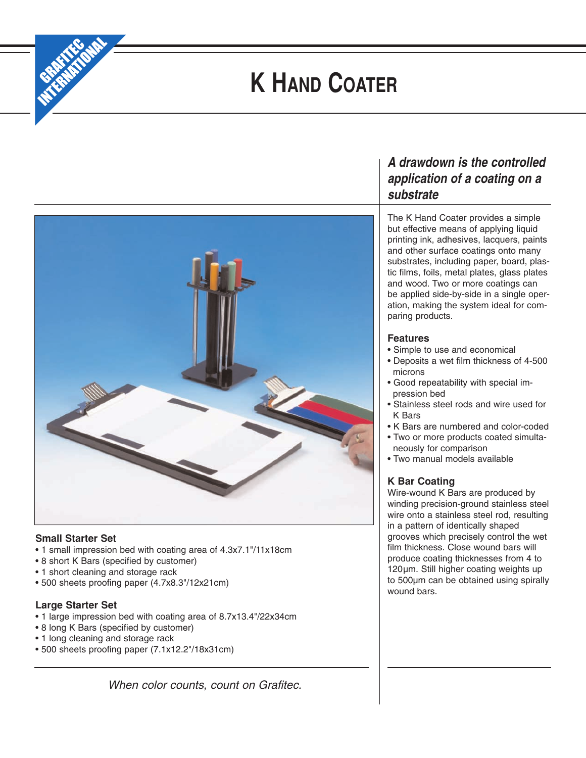

# **K HAND COATER**



## **Small Starter Set**

- 1 small impression bed with coating area of 4.3x7.1"/11x18cm
- 8 short K Bars (specified by customer)
- 1 short cleaning and storage rack
- 500 sheets proofing paper (4.7x8.3"/12x21cm)

## **Large Starter Set**

- 1 large impression bed with coating area of 8.7x13.4"/22x34cm
- 8 long K Bars (specified by customer)
- 1 long cleaning and storage rack
- 500 sheets proofing paper (7.1x12.2"/18x31cm)

*When color counts, count on Grafitec.*

## *A drawdown is the controlled application of a coating on a substrate*

The K Hand Coater provides a simple but effective means of applying liquid printing ink, adhesives, lacquers, paints and other surface coatings onto many substrates, including paper, board, plastic films, foils, metal plates, glass plates and wood. Two or more coatings can be applied side-by-side in a single operation, making the system ideal for comparing products.

## **Features**

- Simple to use and economical
- Deposits a wet film thickness of 4-500 microns
- Good repeatability with special impression bed
- Stainless steel rods and wire used for K Bars
- K Bars are numbered and color-coded
- Two or more products coated simultaneously for comparison
- Two manual models available

## **K Bar Coating**

Wire-wound K Bars are produced by winding precision-ground stainless steel wire onto a stainless steel rod, resulting in a pattern of identically shaped grooves which precisely control the wet film thickness. Close wound bars will produce coating thicknesses from 4 to 120µm. Still higher coating weights up to 500µm can be obtained using spirally wound bars.